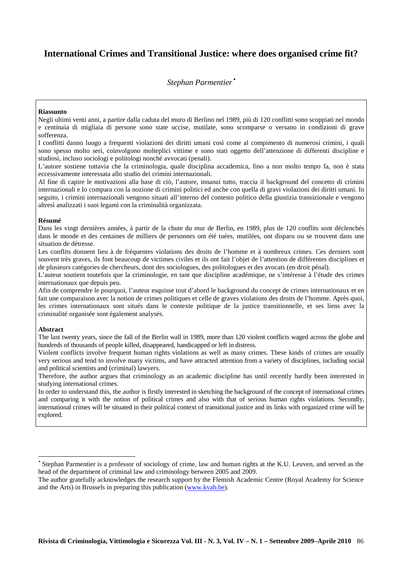# **International Crimes and Transitional Justice: where does organised crime fit?**

*Stephan Parmentier*•

#### **Riassunto**

Negli ultimi venti anni, a partire dalla caduta del muro di Berlino nel 1989, più di 120 conflitti sono scoppiati nel mondo e centinaia di migliaia di persone sono state uccise, mutilate, sono scomparse o versano in condizioni di grave sofferenza.

I conflitti danno luogo a frequenti violazioni dei diritti umani così come al compimento di numerosi crimini, i quali sono spesso molto seri, coinvolgono molteplici vittime e sono stati oggetto dell'attenzione di differenti discipline e studiosi, incluso sociologi e politologi nonché avvocati (penali).

L'autore sostiene tuttavia che la criminologia, quale disciplina accademica, fino a non molto tempo fa, non è stata eccessivamente interessata allo studio dei crimini internazionali.

Al fine di capire le motivazioni alla base di ciò, l'autore, innanzi tutto, traccia il background del concetto di crimini internazionali e lo compara con la nozione di crimini politici ed anche con quella di gravi violazioni dei diritti umani. In seguito, i crimini internazionali vengono situati all'interno del contesto politico della giustizia transizionale e vengono altresì analizzati i suoi legami con la criminalità organizzata.

#### **Résumé**

Dans les vingt dernières années, à partir de la chute du mur de Berlin, en 1989, plus de 120 conflits sont déclenchés dans le monde et des centaines de milliers de personnes ont été tuées, mutilées, ont disparu ou se trouvent dans une situation de détresse.

Les conflits donnent lieu à de fréquentes violations des droits de l'homme et à nombreux crimes. Ces derniers sont souvent très graves, ils font beaucoup de victimes civiles et ils ont fait l'objet de l'attention de différentes disciplines et de plusieurs catégories de chercheurs, dont des sociologues, des politologues et des avocats (en droit pénal).

L'auteur soutient toutefois que la criminologie, en tant que discipline académique, ne s'intéresse à l'étude des crimes internationaux que depuis peu.

Afin de comprendre le pourquoi, l'auteur esquisse tout d'abord le background du concept de crimes internationaux et en fait une comparaison avec la notion de crimes politiques et celle de graves violations des droits de l'homme. Après quoi, les crimes internationaux sont situés dans le contexte politique de la justice transitionnelle, et ses liens avec la criminalité organisée sont également analysés.

#### **Abstract**

 $\overline{a}$ 

The last twenty years, since the fall of the Berlin wall in 1989, more than 120 violent conflicts waged across the globe and hundreds of thousands of people killed, disappeared, handicapped or left in distress.

Violent conflicts involve frequent human rights violations as well as many crimes. These kinds of crimes are usually very serious and tend to involve many victims, and have attracted attention from a variety of disciplines, including social and political scientists and (criminal) lawyers.

Therefore, the author argues that criminology as an academic discipline has until recently hardly been interested in studying international crimes.

In order to understand this, the author is firstly interested in sketching the background of the concept of international crimes and comparing it with the notion of political crimes and also with that of serious human rights violations. Secondly, international crimes will be situated in their political context of transitional justice and its links with organized crime will be explored.

<sup>•</sup> Stephan Parmentier is a professor of sociology of crime, law and human rights at the K.U. Leuven, and served as the head of the department of criminal law and criminology between 2005 and 2009.

The author gratefully acknowledges the research support by the Flemish Academic Centre (Royal Academy for Science and the Arts) in Brussels in preparing this publication (www.kvab.be).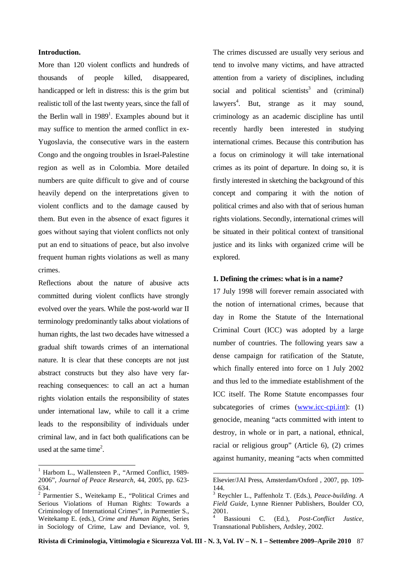# **Introduction.**

More than 120 violent conflicts and hundreds of thousands of people killed, disappeared, handicapped or left in distress: this is the grim but realistic toll of the last twenty years, since the fall of the Berlin wall in 1989<sup>1</sup>. Examples abound but it may suffice to mention the armed conflict in ex-Yugoslavia, the consecutive wars in the eastern Congo and the ongoing troubles in Israel-Palestine region as well as in Colombia. More detailed numbers are quite difficult to give and of course heavily depend on the interpretations given to violent conflicts and to the damage caused by them. But even in the absence of exact figures it goes without saying that violent conflicts not only put an end to situations of peace, but also involve frequent human rights violations as well as many crimes.

Reflections about the nature of abusive acts committed during violent conflicts have strongly evolved over the years. While the post-world war II terminology predominantly talks about violations of human rights, the last two decades have witnessed a gradual shift towards crimes of an international nature. It is clear that these concepts are not just abstract constructs but they also have very farreaching consequences: to call an act a human rights violation entails the responsibility of states under international law, while to call it a crime leads to the responsibility of individuals under criminal law, and in fact both qualifications can be used at the same time<sup>2</sup>.

 $\overline{a}$ 

The crimes discussed are usually very serious and tend to involve many victims, and have attracted attention from a variety of disciplines, including social and political scientists<sup>3</sup> and (criminal) lawyers<sup>4</sup>. But, strange as it may sound, criminology as an academic discipline has until recently hardly been interested in studying international crimes. Because this contribution has a focus on criminology it will take international crimes as its point of departure. In doing so, it is firstly interested in sketching the background of this concept and comparing it with the notion of political crimes and also with that of serious human rights violations. Secondly, international crimes will be situated in their political context of transitional justice and its links with organized crime will be explored.

### **1. Defining the crimes: what is in a name?**

17 July 1998 will forever remain associated with the notion of international crimes, because that day in Rome the Statute of the International Criminal Court (ICC) was adopted by a large number of countries. The following years saw a dense campaign for ratification of the Statute, which finally entered into force on 1 July 2002 and thus led to the immediate establishment of the ICC itself. The Rome Statute encompasses four subcategories of crimes (www.icc-cpi.int): (1) genocide, meaning "acts committed with intent to destroy, in whole or in part, a national, ethnical, racial or religious group" (Article 6), (2) crimes against humanity, meaning "acts when committed

-

<sup>&</sup>lt;sup>1</sup> Harbom L., Wallensteen P., "Armed Conflict, 1989-2006", *Journal of Peace Research,* 44, 2005, pp. 623- 634.

<sup>&</sup>lt;sup>2</sup> Parmentier S., Weitekamp E., "Political Crimes and Serious Violations of Human Rights: Towards a Criminology of International Crimes", in Parmentier S., Weitekamp E. (eds.), *Crime and Human Rights*, Series in Sociology of Crime, Law and Deviance, vol. 9,

Elsevier/JAI Press, Amsterdam/Oxford , 2007, pp. 109- 144.

<sup>3</sup> Reychler L., Paffenholz T. (Eds.), *Peace-building. A Field Guide,* Lynne Rienner Publishers, Boulder CO, 2001. 4

Bassiouni C. (Ed.), *Post-Conflict Justice,* Transnational Publishers, Ardsley, 2002.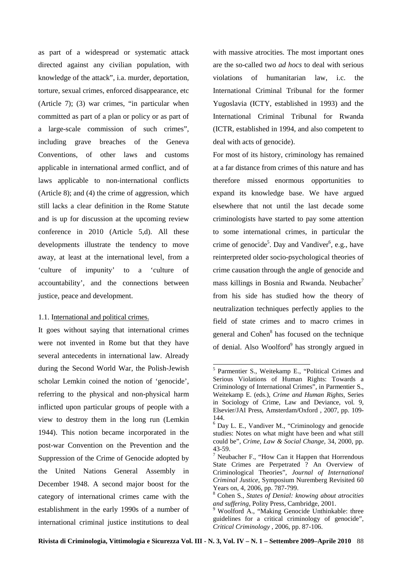as part of a widespread or systematic attack directed against any civilian population, with knowledge of the attack", i.a. murder, deportation, torture, sexual crimes, enforced disappearance, etc (Article 7); (3) war crimes, "in particular when committed as part of a plan or policy or as part of a large-scale commission of such crimes", including grave breaches of the Geneva Conventions, of other laws and customs applicable in international armed conflict, and of laws applicable to non-international conflicts (Article 8); and (4) the crime of aggression, which still lacks a clear definition in the Rome Statute and is up for discussion at the upcoming review conference in 2010 (Article 5,d). All these developments illustrate the tendency to move away, at least at the international level, from a 'culture of impunity' to a 'culture of accountability', and the connections between justice, peace and development.

#### 1.1. International and political crimes.

It goes without saying that international crimes were not invented in Rome but that they have several antecedents in international law. Already during the Second World War, the Polish-Jewish scholar Lemkin coined the notion of 'genocide', referring to the physical and non-physical harm inflicted upon particular groups of people with a view to destroy them in the long run (Lemkin 1944). This notion became incorporated in the post-war Convention on the Prevention and the Suppression of the Crime of Genocide adopted by the United Nations General Assembly in December 1948. A second major boost for the category of international crimes came with the establishment in the early 1990s of a number of international criminal justice institutions to deal

with massive atrocities. The most important ones are the so-called two *ad hocs* to deal with serious violations of humanitarian law, i.c. the International Criminal Tribunal for the former Yugoslavia (ICTY, established in 1993) and the International Criminal Tribunal for Rwanda (ICTR, established in 1994, and also competent to deal with acts of genocide).

For most of its history, criminology has remained at a far distance from crimes of this nature and has therefore missed enormous opportunities to expand its knowledge base. We have argued elsewhere that not until the last decade some criminologists have started to pay some attention to some international crimes, in particular the crime of genocide<sup>5</sup>. Day and Vandiver<sup>6</sup>, e.g., have reinterpreted older socio-psychological theories of crime causation through the angle of genocide and mass killings in Bosnia and Rwanda. Neubacher<sup>7</sup> from his side has studied how the theory of neutralization techniques perfectly applies to the field of state crimes and to macro crimes in general and Cohen<sup>8</sup> has focused on the technique of denial. Also Woolford<sup>9</sup> has strongly argued in

<sup>5</sup> Parmentier S., Weitekamp E., "Political Crimes and Serious Violations of Human Rights: Towards a Criminology of International Crimes", in Parmentier S., Weitekamp E. (eds.), *Crime and Human Rights*, Series in Sociology of Crime, Law and Deviance, vol. 9, Elsevier/JAI Press, Amsterdam/Oxford , 2007, pp. 109- 144.

<sup>6</sup> Day L. E., Vandiver M., "Criminology and genocide studies: Notes on what might have been and what still could be", *Crime, Law & Social Change,* 34, 2000, pp. 43-59.

<sup>&</sup>lt;sup>7</sup> Neubacher F., "How Can it Happen that Horrendous State Crimes are Perpetrated ? An Overview of Criminological Theories", *Journal of International Criminal Justice*, Symposium Nuremberg Revisited 60 Years on, 4, 2006, pp. 787-799.

<sup>8</sup> Cohen S., *States of Denial: knowing about atrocities and suffering,* Polity Press, Cambridge, 2001.

<sup>&</sup>lt;sup>9</sup> Woolford A., "Making Genocide Unthinkable: three guidelines for a critical criminology of genocide", *Critical Criminology* , 2006, pp. 87-106.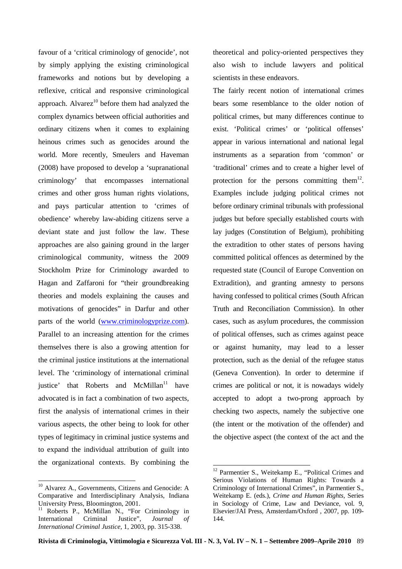favour of a 'critical criminology of genocide', not by simply applying the existing criminological frameworks and notions but by developing a reflexive, critical and responsive criminological approach. Alvarez $^{10}$  before them had analyzed the complex dynamics between official authorities and ordinary citizens when it comes to explaining heinous crimes such as genocides around the world. More recently, Smeulers and Haveman (2008) have proposed to develop a 'supranational criminology' that encompasses international crimes and other gross human rights violations, and pays particular attention to 'crimes of obedience' whereby law-abiding citizens serve a deviant state and just follow the law. These approaches are also gaining ground in the larger criminological community, witness the 2009 Stockholm Prize for Criminology awarded to Hagan and Zaffaroni for "their groundbreaking theories and models explaining the causes and motivations of genocides" in Darfur and other parts of the world (www.criminologyprize.com). Parallel to an increasing attention for the crimes themselves there is also a growing attention for the criminal justice institutions at the international level. The 'criminology of international criminal justice' that Roberts and  $McMillan<sup>11</sup>$  have advocated is in fact a combination of two aspects, first the analysis of international crimes in their various aspects, the other being to look for other types of legitimacy in criminal justice systems and to expand the individual attribution of guilt into the organizational contexts. By combining the

theoretical and policy-oriented perspectives they also wish to include lawyers and political scientists in these endeavors.

The fairly recent notion of international crimes bears some resemblance to the older notion of political crimes, but many differences continue to exist. 'Political crimes' or 'political offenses' appear in various international and national legal instruments as a separation from 'common' or 'traditional' crimes and to create a higher level of protection for the persons committing them $^{12}$ . Examples include judging political crimes not before ordinary criminal tribunals with professional judges but before specially established courts with lay judges (Constitution of Belgium), prohibiting the extradition to other states of persons having committed political offences as determined by the requested state (Council of Europe Convention on Extradition), and granting amnesty to persons having confessed to political crimes (South African Truth and Reconciliation Commission). In other cases, such as asylum procedures, the commission of political offenses, such as crimes against peace or against humanity, may lead to a lesser protection, such as the denial of the refugee status (Geneva Convention). In order to determine if crimes are political or not, it is nowadays widely accepted to adopt a two-prong approach by checking two aspects, namely the subjective one (the intent or the motivation of the offender) and the objective aspect (the context of the act and the

 $\overline{a}$  $10$  Alvarez A., Governments, Citizens and Genocide: A Comparative and Interdisciplinary Analysis, Indiana University Press, Bloomington, 2001.

<sup>&</sup>lt;sup>11</sup> Roberts P., McMillan N., "For Criminology in International Criminal Justice", *Journal of International Criminal Justice,* 1, 2003, pp. 315-338.

<sup>&</sup>lt;sup>12</sup> Parmentier S., Weitekamp E., "Political Crimes and Serious Violations of Human Rights: Towards a Criminology of International Crimes", in Parmentier S., Weitekamp E. (eds.), *Crime and Human Rights*, Series in Sociology of Crime, Law and Deviance, vol. 9, Elsevier/JAI Press, Amsterdam/Oxford , 2007, pp. 109- 144.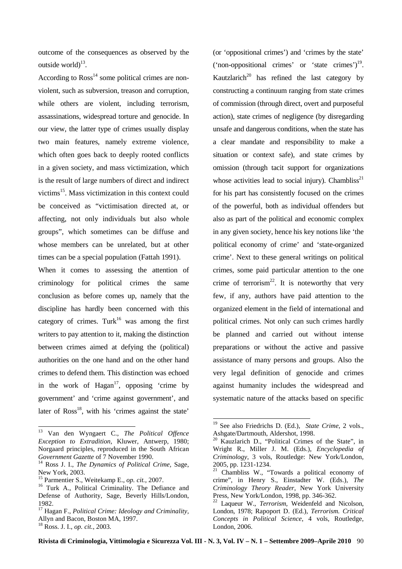outcome of the consequences as observed by the outside world $)^{13}$ .

According to  $Ross<sup>14</sup>$  some political crimes are nonviolent, such as subversion, treason and corruption, while others are violent, including terrorism, assassinations, widespread torture and genocide. In our view, the latter type of crimes usually display two main features, namely extreme violence, which often goes back to deeply rooted conflicts in a given society, and mass victimization, which is the result of large numbers of direct and indirect victims<sup>15</sup>. Mass victimization in this context could be conceived as "victimisation directed at, or affecting, not only individuals but also whole groups", which sometimes can be diffuse and whose members can be unrelated, but at other times can be a special population (Fattah 1991).

When it comes to assessing the attention of criminology for political crimes the same conclusion as before comes up, namely that the discipline has hardly been concerned with this category of crimes. Turk<sup>16</sup> was among the first writers to pay attention to it, making the distinction between crimes aimed at defying the (political) authorities on the one hand and on the other hand crimes to defend them. This distinction was echoed in the work of  $Hagan^{17}$ , opposing 'crime by government' and 'crime against government', and later of  $Ross<sup>18</sup>$ , with his 'crimes against the state'

 $\overline{a}$ 

(or 'oppositional crimes') and 'crimes by the state' ('non-oppositional crimes' or 'state crimes') $19$ . Kautzlarich<sup>20</sup> has refined the last category by constructing a continuum ranging from state crimes of commission (through direct, overt and purposeful action), state crimes of negligence (by disregarding unsafe and dangerous conditions, when the state has a clear mandate and responsibility to make a situation or context safe), and state crimes by omission (through tacit support for organizations whose activities lead to social injury). Chambliss<sup>21</sup> for his part has consistently focused on the crimes of the powerful, both as individual offenders but also as part of the political and economic complex in any given society, hence his key notions like 'the political economy of crime' and 'state-organized crime'. Next to these general writings on political crimes, some paid particular attention to the one crime of terrorism<sup>22</sup>. It is noteworthy that very few, if any, authors have paid attention to the organized element in the field of international and political crimes. Not only can such crimes hardly be planned and carried out without intense preparations or without the active and passive assistance of many persons and groups. Also the very legal definition of genocide and crimes against humanity includes the widespread and systematic nature of the attacks based on specific

<sup>13</sup> Van den Wyngaert C., *The Political Offence Exception to Extradition,* Kluwer, Antwerp, 1980; Norgaard principles, reproduced in the South African *Government Gazette* of 7 November 1990.

<sup>14</sup> Ross J. I., *The Dynamics of Political Crime,* Sage, New York, 2003.

<sup>15</sup> Parmentier S., Weitekamp E., *op. cit.*, 2007.

<sup>&</sup>lt;sup>16</sup> Turk A., Political Criminality. The Defiance and Defense of Authority, Sage, Beverly Hills/London, 1982.

<sup>17</sup> Hagan F., *Political Crime: Ideology and Criminality,* Allyn and Bacon, Boston MA, 1997.

<sup>18</sup> Ross. J. I., *op. cit.*, 2003.

<sup>19</sup> See also Friedrichs D. (Ed.), *State Crime*, 2 vols., Ashgate/Dartmouth, Aldershot, 1998.

 $20$  Kauzlarich D., "Political Crimes of the State", in Wright R., Miller J. M. (Eds.), *Encyclopedia of Criminology*, 3 vols, Routledge: New York/London, 2005, pp. 1231-1234.

<sup>&</sup>lt;sup>21</sup> Chambliss W., "Towards a political economy of crime", in Henry S., Einstadter W. (Eds.), *The Criminology Theory Reader,* New York University Press, New York/London, 1998, pp. 346-362.

<sup>22</sup> Laqueur W., *Terrorism,* Weidenfeld and Nicolson, London, 1978; Rapoport D. (Ed.), *Terrorism. Critical Concepts in Political Science*, 4 vols, Routledge, London, 2006.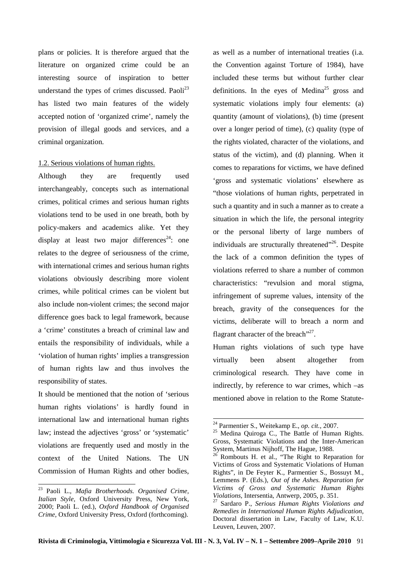plans or policies. It is therefore argued that the literature on organized crime could be an interesting source of inspiration to better understand the types of crimes discussed. Paoli $^{23}$ has listed two main features of the widely accepted notion of 'organized crime', namely the provision of illegal goods and services, and a criminal organization.

## 1.2. Serious violations of human rights.

Although they are frequently used interchangeably, concepts such as international crimes, political crimes and serious human rights violations tend to be used in one breath, both by policy-makers and academics alike. Yet they display at least two major differences<sup>24</sup>: one relates to the degree of seriousness of the crime, with international crimes and serious human rights violations obviously describing more violent crimes, while political crimes can be violent but also include non-violent crimes; the second major difference goes back to legal framework, because a 'crime' constitutes a breach of criminal law and entails the responsibility of individuals, while a 'violation of human rights' implies a transgression of human rights law and thus involves the responsibility of states.

It should be mentioned that the notion of 'serious human rights violations' is hardly found in international law and international human rights law; instead the adjectives 'gross' or 'systematic' violations are frequently used and mostly in the context of the United Nations. The UN Commission of Human Rights and other bodies,

 $\overline{a}$ 

as well as a number of international treaties (i.a. the Convention against Torture of 1984), have included these terms but without further clear definitions. In the eyes of Medina<sup>25</sup> gross and systematic violations imply four elements: (a) quantity (amount of violations), (b) time (present over a longer period of time), (c) quality (type of the rights violated, character of the violations, and status of the victim), and (d) planning. When it comes to reparations for victims, we have defined 'gross and systematic violations' elsewhere as "those violations of human rights, perpetrated in such a quantity and in such a manner as to create a situation in which the life, the personal integrity or the personal liberty of large numbers of individuals are structurally threatened"<sup>26</sup>. Despite the lack of a common definition the types of violations referred to share a number of common characteristics: "revulsion and moral stigma, infringement of supreme values, intensity of the breach, gravity of the consequences for the victims, deliberate will to breach a norm and flagrant character of the breach"<sup>27</sup>.

Human rights violations of such type have virtually been absent altogether from criminological research. They have come in indirectly, by reference to war crimes, which –as mentioned above in relation to the Rome Statute-

<sup>23</sup> Paoli L., *Mafia Brotherhoods. Organised Crime, Italian Style,* Oxford University Press, New York, 2000; Paoli L. (ed.), *Oxford Handbook of Organised Crime,* Oxford University Press, Oxford (forthcoming).

<sup>24</sup> Parmentier S., Weitekamp E., *op. cit.*, 2007.

 $25$  Medina Quiroga C., The Battle of Human Rights. Gross, Systematic Violations and the Inter-American System, Martinus Nijhoff, The Hague, 1988.

<sup>26</sup> Rombouts H. et al., "The Right to Reparation for Victims of Gross and Systematic Violations of Human Rights", in De Feyter K., Parmentier S., Bossuyt M., Lemmens P. (Eds.), *Out of the Ashes. Reparation for Victims of Gross and Systematic Human Rights Violations,* Intersentia, Antwerp, 2005, p. 351.

<sup>27</sup> Sardaro P., *Serious Human Rights Violations and Remedies in International Human Rights Adjudication,* Doctoral dissertation in Law, Faculty of Law, K.U. Leuven, Leuven, 2007.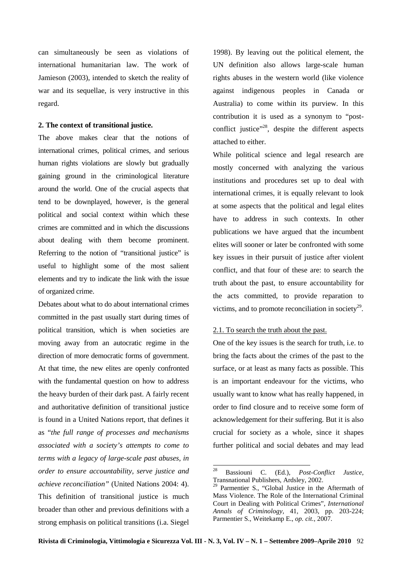can simultaneously be seen as violations of international humanitarian law. The work of Jamieson (2003), intended to sketch the reality of war and its sequellae, is very instructive in this regard.

#### **2. The context of transitional justice.**

The above makes clear that the notions of international crimes, political crimes, and serious human rights violations are slowly but gradually gaining ground in the criminological literature around the world. One of the crucial aspects that tend to be downplayed, however, is the general political and social context within which these crimes are committed and in which the discussions about dealing with them become prominent. Referring to the notion of "transitional justice" is useful to highlight some of the most salient elements and try to indicate the link with the issue of organized crime.

Debates about what to do about international crimes committed in the past usually start during times of political transition, which is when societies are moving away from an autocratic regime in the direction of more democratic forms of government. At that time, the new elites are openly confronted with the fundamental question on how to address the heavy burden of their dark past. A fairly recent and authoritative definition of transitional justice is found in a United Nations report, that defines it as "*the full range of processes and mechanisms associated with a society's attempts to come to terms with a legacy of large-scale past abuses, in order to ensure accountability, serve justice and achieve reconciliation"* (United Nations 2004: 4). This definition of transitional justice is much broader than other and previous definitions with a strong emphasis on political transitions (i.a. Siegel

1998). By leaving out the political element, the UN definition also allows large-scale human rights abuses in the western world (like violence against indigenous peoples in Canada or Australia) to come within its purview. In this contribution it is used as a synonym to "postconflict justice"<sup>28</sup>, despite the different aspects attached to either.

While political science and legal research are mostly concerned with analyzing the various institutions and procedures set up to deal with international crimes, it is equally relevant to look at some aspects that the political and legal elites have to address in such contexts. In other publications we have argued that the incumbent elites will sooner or later be confronted with some key issues in their pursuit of justice after violent conflict, and that four of these are: to search the truth about the past, to ensure accountability for the acts committed, to provide reparation to victims, and to promote reconciliation in society $^{29}$ .

### 2.1. To search the truth about the past.

One of the key issues is the search for truth, i.e. to bring the facts about the crimes of the past to the surface, or at least as many facts as possible. This is an important endeavour for the victims, who usually want to know what has really happened, in order to find closure and to receive some form of acknowledgement for their suffering. But it is also crucial for society as a whole, since it shapes further political and social debates and may lead

<sup>28</sup> Bassiouni C. (Ed.), *Post-Conflict Justice,* Transnational Publishers, Ardsley, 2002.

<sup>29</sup> Parmentier S., "Global Justice in the Aftermath of Mass Violence. The Role of the International Criminal Court in Dealing with Political Crimes", *International Annals of Criminology,* 41, 2003, pp. 203-224; Parmentier S., Weitekamp E., *op. cit.*, 2007.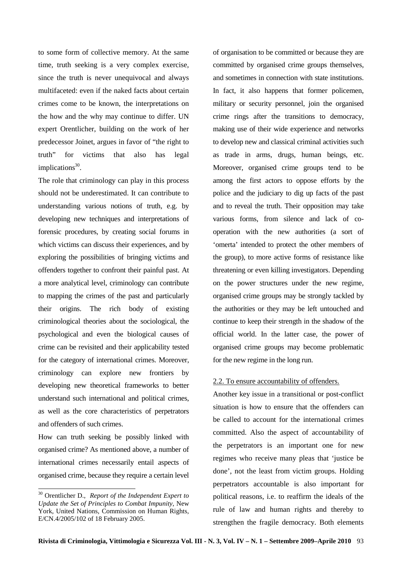to some form of collective memory. At the same time, truth seeking is a very complex exercise, since the truth is never unequivocal and always multifaceted: even if the naked facts about certain crimes come to be known, the interpretations on the how and the why may continue to differ. UN expert Orentlicher, building on the work of her predecessor Joinet, argues in favor of "the right to truth" for victims that also has legal implications<sup>30</sup>.

The role that criminology can play in this process should not be underestimated. It can contribute to understanding various notions of truth, e.g. by developing new techniques and interpretations of forensic procedures, by creating social forums in which victims can discuss their experiences, and by exploring the possibilities of bringing victims and offenders together to confront their painful past. At a more analytical level, criminology can contribute to mapping the crimes of the past and particularly their origins. The rich body of existing criminological theories about the sociological, the psychological and even the biological causes of crime can be revisited and their applicability tested for the category of international crimes. Moreover, criminology can explore new frontiers by developing new theoretical frameworks to better understand such international and political crimes, as well as the core characteristics of perpetrators and offenders of such crimes.

How can truth seeking be possibly linked with organised crime? As mentioned above, a number of international crimes necessarily entail aspects of organised crime, because they require a certain level

 $\overline{a}$ 

of organisation to be committed or because they are committed by organised crime groups themselves, and sometimes in connection with state institutions. In fact, it also happens that former policemen, military or security personnel, join the organised crime rings after the transitions to democracy, making use of their wide experience and networks to develop new and classical criminal activities such as trade in arms, drugs, human beings, etc. Moreover, organised crime groups tend to be among the first actors to oppose efforts by the police and the judiciary to dig up facts of the past and to reveal the truth. Their opposition may take various forms, from silence and lack of cooperation with the new authorities (a sort of 'omerta' intended to protect the other members of the group), to more active forms of resistance like threatening or even killing investigators. Depending on the power structures under the new regime, organised crime groups may be strongly tackled by the authorities or they may be left untouched and continue to keep their strength in the shadow of the official world. In the latter case, the power of organised crime groups may become problematic for the new regime in the long run.

# 2.2. To ensure accountability of offenders.

Another key issue in a transitional or post-conflict situation is how to ensure that the offenders can be called to account for the international crimes committed. Also the aspect of accountability of the perpetrators is an important one for new regimes who receive many pleas that 'justice be done', not the least from victim groups. Holding perpetrators accountable is also important for political reasons, i.e. to reaffirm the ideals of the rule of law and human rights and thereby to strengthen the fragile democracy. Both elements

<sup>30</sup> Orentlicher D., *Report of the Independent Expert to Update the Set of Principles to Combat Impunity*, New York, United Nations, Commission on Human Rights, E/CN.4/2005/102 of 18 February 2005.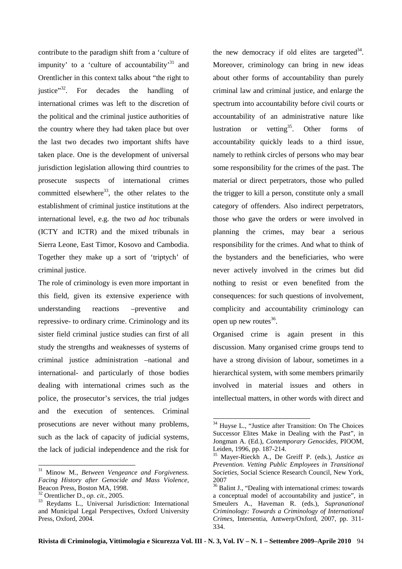contribute to the paradigm shift from a 'culture of impunity' to a 'culture of accountability'<sup>31</sup> and Orentlicher in this context talks about "the right to justice"<sup>32</sup>. For decades the handling of international crimes was left to the discretion of the political and the criminal justice authorities of the country where they had taken place but over the last two decades two important shifts have taken place. One is the development of universal jurisdiction legislation allowing third countries to prosecute suspects of international crimes committed elsewhere<sup>33</sup>, the other relates to the establishment of criminal justice institutions at the international level, e.g. the two *ad hoc* tribunals (ICTY and ICTR) and the mixed tribunals in Sierra Leone, East Timor, Kosovo and Cambodia. Together they make up a sort of 'triptych' of criminal justice.

The role of criminology is even more important in this field, given its extensive experience with understanding reactions –preventive and repressive- to ordinary crime. Criminology and its sister field criminal justice studies can first of all study the strengths and weaknesses of systems of criminal justice administration –national and international- and particularly of those bodies dealing with international crimes such as the police, the prosecutor's services, the trial judges and the execution of sentences. Criminal prosecutions are never without many problems, such as the lack of capacity of judicial systems, the lack of judicial independence and the risk for

 $\overline{a}$ 

the new democracy if old elites are targeted $34$ . Moreover, criminology can bring in new ideas about other forms of accountability than purely criminal law and criminal justice, and enlarge the spectrum into accountability before civil courts or accountability of an administrative nature like lustration or vetting<sup>35</sup>. Other forms of accountability quickly leads to a third issue, namely to rethink circles of persons who may bear some responsibility for the crimes of the past. The material or direct perpetrators, those who pulled the trigger to kill a person, constitute only a small category of offenders. Also indirect perpetrators, those who gave the orders or were involved in planning the crimes, may bear a serious responsibility for the crimes. And what to think of the bystanders and the beneficiaries, who were never actively involved in the crimes but did nothing to resist or even benefited from the consequences: for such questions of involvement, complicity and accountability criminology can open up new routes $36$ .

Organised crime is again present in this discussion. Many organised crime groups tend to have a strong division of labour, sometimes in a hierarchical system, with some members primarily involved in material issues and others in intellectual matters, in other words with direct and

<sup>31</sup> Minow M., *Between Vengeance and Forgiveness. Facing History after Genocide and Mass Violence,* Beacon Press, Boston MA, 1998.

<sup>32</sup> Orentlicher D., *op. cit.*, 2005.

<sup>33</sup> Reydams L., Universal Jurisdiction: International and Municipal Legal Perspectives, Oxford University Press, Oxford, 2004.

<sup>&</sup>lt;sup>34</sup> Huyse L., "Justice after Transition: On The Choices Successor Elites Make in Dealing with the Past", in Jongman A. (Ed.), *Contemporary Genocides,* PIOOM, Leiden, 1996, pp. 187-214.

<sup>35</sup> Mayer-Rieckh A., De Greiff P. (eds.), *Justice as Prevention. Vetting Public Employees in Transitional Societies*, Social Science Research Council, New York, 2007

<sup>&</sup>lt;sup>36</sup> Balint J., "Dealing with international crimes: towards a conceptual model of accountability and justice", in Smeulers A., Haveman R. (eds.), *Supranational Criminology: Towards a Criminology of International Crimes*, Intersentia, Antwerp/Oxford, 2007, pp. 311- 334.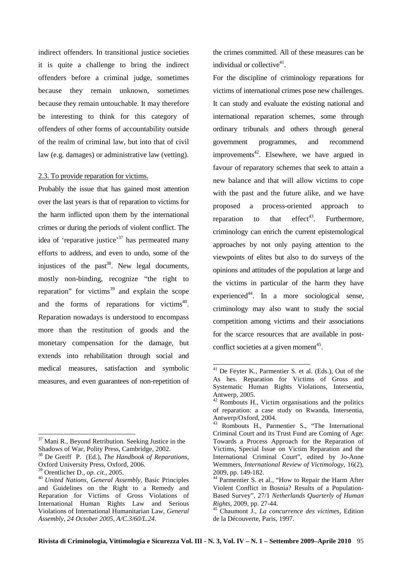indirect offenders. In transitional justice societies it is quite a challenge to bring the indirect offenders before a criminal judge, sometimes because they remain unknown, sometimes because they remain untouchable. It may therefore be interesting to think for this category of offenders of other forms of accountability outside of the realm of criminal law, but into that of civil law (e.g. damages) or administrative law (vetting).

### 2.3. To provide reparation for victims.

Probably the issue that has gained most attention over the last years is that of reparation to victims for the harm inflicted upon them by the international crimes or during the periods of violent conflict. The idea of 'reparative justice'<sup>37</sup> has permeated many efforts to address, and even to undo, some of the injustices of the past $38$ . New legal documents, mostly non-binding, recognize "the right to reparation" for victims $39$  and explain the scope and the forms of reparations for victims<sup>40</sup>. Reparation nowadays is understood to encompass more than the restitution of goods and the monetary compensation for the damage, but extends into rehabilitation through social and medical measures, satisfaction and symbolic measures, and even guarantees of non-repetition of

 $\overline{a}$ 

the crimes committed. All of these measures can be individual or collective<sup>41</sup>.

For the discipline of criminology reparations for victims of international crimes pose new challenges. It can study and evaluate the existing national and international reparation schemes, some through ordinary tribunals and others through general government programmes, and recommend improvements<sup>42</sup>. Elsewhere, we have argued in favour of reparatory schemes that seek to attain a new balance and that will allow victims to cope with the past and the future alike, and we have proposed a process-oriented approach to reparation to that effect<sup>43</sup>. Furthermore, criminology can enrich the current epistemological approaches by not only paying attention to the viewpoints of elites but also to do surveys of the opinions and attitudes of the population at large and the victims in particular of the harm they have experienced<sup>44</sup>. In a more sociological sense, criminology may also want to study the social competition among victims and their associations for the scarce resources that are available in postconflict societies at a given moment<sup>45</sup>.

 $37$  Mani R., Beyond Retribution. Seeking Justice in the Shadows of War, Polity Press, Cambridge, 2002.

<sup>38</sup> De Greiff P. (Ed.), *The Handbook of Reparations,* Oxford University Press, Oxford, 2006.

<sup>39</sup> Orentlicher D., *op. cit.*, 2005.

<sup>40</sup> *United Nations, General Assembly,* Basic Principles and Guidelines on the Right to a Remedy and Reparation for Victims of Gross Violations of International Human Rights Law and Serious Violations of International Humanitarian Law*, General Assembly, 24 October 2005, A/C.3/60/L.24.*

<sup>&</sup>lt;sup>41</sup> De Feyter K., Parmentier S. et al. (Eds.), Out of the As hes. Reparation for Victims of Gross and Systematic Human Rights Violations, Intersentia, Antwerp, 2005.

<sup>42</sup> Rombouts H., Victim organisations and the politics of reparation: a case study on Rwanda, Intersentia, Antwerp/Oxford, 2004.

<sup>&</sup>lt;sup>43</sup> Rombouts H., Parmentier S., "The International Criminal Court and its Trust Fund are Coming of Age: Towards a Process Approach for the Reparation of Victims, Special Issue on Victim Reparation and the International Criminal Court", edited by Jo-Anne Wemmers, *International Review of Victimology,* 16(2), 2009, pp. 149-182.

<sup>&</sup>lt;sup>44</sup> Parmentier S. et al., "How to Repair the Harm After Violent Conflict in Bosnia? Results of a Population-Based Survey", 27/1 *Netherlands Quarterly of Human Rights,* 2009, pp. 27-44.

<sup>45</sup> Chaumont J., *La concurrence des victimes,* Edition de la Découverte, Paris, 1997.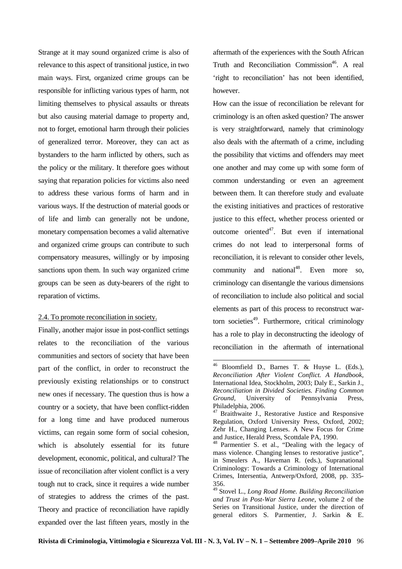Strange at it may sound organized crime is also of relevance to this aspect of transitional justice, in two main ways. First, organized crime groups can be responsible for inflicting various types of harm, not limiting themselves to physical assaults or threats but also causing material damage to property and, not to forget, emotional harm through their policies of generalized terror. Moreover, they can act as bystanders to the harm inflicted by others, such as the policy or the military. It therefore goes without saying that reparation policies for victims also need to address these various forms of harm and in various ways. If the destruction of material goods or of life and limb can generally not be undone, monetary compensation becomes a valid alternative and organized crime groups can contribute to such compensatory measures, willingly or by imposing sanctions upon them. In such way organized crime groups can be seen as duty-bearers of the right to reparation of victims.

# 2.4. To promote reconciliation in society.

Finally, another major issue in post-conflict settings relates to the reconciliation of the various communities and sectors of society that have been part of the conflict, in order to reconstruct the previously existing relationships or to construct new ones if necessary. The question thus is how a country or a society, that have been conflict-ridden for a long time and have produced numerous victims, can regain some form of social cohesion, which is absolutely essential for its future development, economic, political, and cultural? The issue of reconciliation after violent conflict is a very tough nut to crack, since it requires a wide number of strategies to address the crimes of the past. Theory and practice of reconciliation have rapidly expanded over the last fifteen years, mostly in the aftermath of the experiences with the South African Truth and Reconciliation Commission<sup>46</sup>. A real 'right to reconciliation' has not been identified, however.

How can the issue of reconciliation be relevant for criminology is an often asked question? The answer is very straightforward, namely that criminology also deals with the aftermath of a crime, including the possibility that victims and offenders may meet one another and may come up with some form of common understanding or even an agreement between them. It can therefore study and evaluate the existing initiatives and practices of restorative justice to this effect, whether process oriented or outcome oriented $4^7$ . But even if international crimes do not lead to interpersonal forms of reconciliation, it is relevant to consider other levels, community and national<sup>48</sup>. Even more so, criminology can disentangle the various dimensions of reconciliation to include also political and social elements as part of this process to reconstruct wartorn societies<sup>49</sup>. Furthermore, critical criminology has a role to play in deconstructing the ideology of reconciliation in the aftermath of international

<sup>46</sup> Bloomfield D., Barnes T. & Huyse L. (Eds.), *Reconciliation After Violent Conflict. A Handbook,* International Idea, Stockholm, 2003; Daly E., Sarkin J., *Reconciliation in Divided Societies. Finding Common Ground,* University of Pennsylvania Press, Philadelphia, 2006.

<sup>&</sup>lt;sup>47</sup> Braithwaite J., Restorative Justice and Responsive Regulation, Oxford University Press, Oxford, 2002; Zehr H., Changing Lenses. A New Focus for Crime and Justice, Herald Press, Scottdale PA, 1990.

<sup>48</sup> Parmentier S. et al., "Dealing with the legacy of mass violence. Changing lenses to restorative justice", in Smeulers A., Haveman R. (eds.), Supranational Criminology: Towards a Criminology of International Crimes, Intersentia, Antwerp/Oxford, 2008, pp. 335- 356.

<sup>49</sup> Stovel L., *Long Road Home. Building Reconciliation and Trust in Post-War Sierra Leone*, volume 2 of the Series on Transitional Justice, under the direction of general editors S. Parmentier, J. Sarkin & E.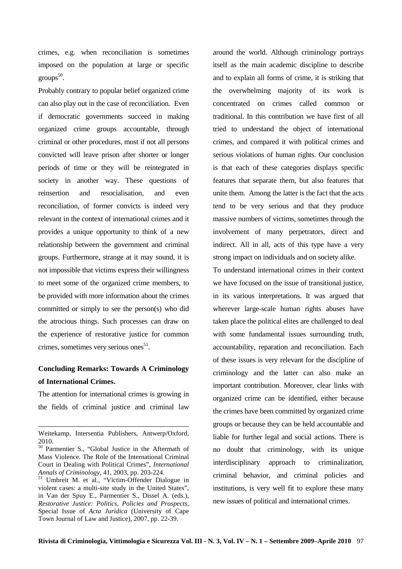crimes, e.g. when reconciliation is sometimes imposed on the population at large or specific  $\rm{groups}^{50}.$ 

Probably contrary to popular belief organized crime can also play out in the case of reconciliation. Even if democratic governments succeed in making organized crime groups accountable, through criminal or other procedures, most if not all persons convicted will leave prison after shorter or longer periods of time or they will be reintegrated in society in another way. These questions of reinsertion and resocialisation, and even reconciliation, of former convicts is indeed very relevant in the context of international crimes and it provides a unique opportunity to think of a new relationship between the government and criminal groups. Furthermore, strange at it may sound, it is not impossible that victims express their willingness to meet some of the organized crime members, to be provided with more information about the crimes committed or simply to see the person(s) who did the atrocious things. Such processes can draw on the experience of restorative justice for common crimes, sometimes very serious ones<sup>51</sup>.

# **Concluding Remarks: Towards A Criminology of International Crimes.**

The attention for international crimes is growing in the fields of criminal justice and criminal law

 $\overline{a}$ 

around the world. Although criminology portrays itself as the main academic discipline to describe and to explain all forms of crime, it is striking that the overwhelming majority of its work is concentrated on crimes called common or traditional. In this contribution we have first of all tried to understand the object of international crimes, and compared it with political crimes and serious violations of human rights. Our conclusion is that each of these categories displays specific features that separate them, but also features that unite them. Among the latter is the fact that the acts tend to be very serious and that they produce massive numbers of victims, sometimes through the involvement of many perpetrators, direct and indirect. All in all, acts of this type have a very strong impact on individuals and on society alike.

To understand international crimes in their context we have focused on the issue of transitional justice, in its various interpretations. It was argued that wherever large-scale human rights abuses have taken place the political elites are challenged to deal with some fundamental issues surrounding truth, accountability, reparation and reconciliation. Each of these issues is very relevant for the discipline of criminology and the latter can also make an important contribution. Moreover, clear links with organized crime can be identified, either because the crimes have been committed by organized crime groups or because they can be held accountable and liable for further legal and social actions. There is no doubt that criminology, with its unique interdisciplinary approach to criminalization, criminal behavior, and criminal policies and institutions, is very well fit to explore these many new issues of political and international crimes.

Weitekamp, Intersentia Publishers, Antwerp/Oxford, 2010.

<sup>50</sup> Parmentier S., "Global Justice in the Aftermath of Mass Violence. The Role of the International Criminal Court in Dealing with Political Crimes", *International Annals of Criminology,* 41, 2003, pp. 203-224.

<sup>&</sup>lt;sup>51</sup> Umbreit M. et al., "Victim-Offender Dialogue in violent cases: a multi-site study in the United States", in Van der Spuy E., Parmentier S., Dissel A. (eds.), *Restorative Justice: Politics, Policies and Prospects*, Special Issue of *Acta Juridica* (University of Cape Town Journal of Law and Justice), 2007, pp. 22-39.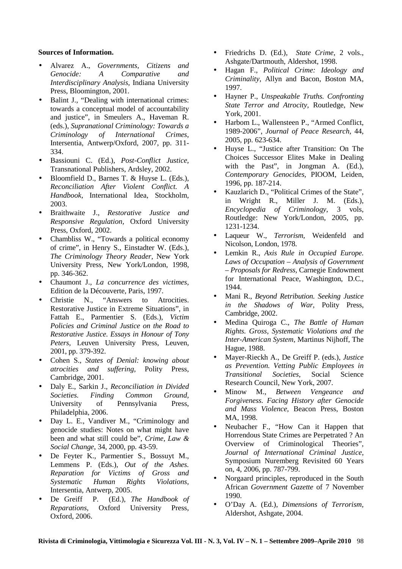## **Sources of Information.**

- Alvarez A., *Governments, Citizens and Genocide: A Comparative and Interdisciplinary Analysis,* Indiana University Press, Bloomington, 2001.
- Balint J., "Dealing with international crimes: towards a conceptual model of accountability and justice", in Smeulers A., Haveman R. (eds.), *Supranational Criminology: Towards a Criminology of International Crimes*, Intersentia, Antwerp/Oxford, 2007, pp. 311- 334.
- Bassiouni C. (Ed.), *Post-Conflict Justice,* Transnational Publishers, Ardsley, 2002.
- Bloomfield D., Barnes T. & Huyse L. (Eds.), *Reconciliation After Violent Conflict. A Handbook,* International Idea, Stockholm, 2003.
- Braithwaite J., *Restorative Justice and Responsive Regulation,* Oxford University Press, Oxford, 2002.
- Chambliss W., "Towards a political economy of crime", in Henry S., Einstadter W. (Eds.), *The Criminology Theory Reader,* New York University Press, New York/London, 1998, pp. 346-362.
- Chaumont J., *La concurrence des victimes,* Edition de la Découverte, Paris, 1997.
- Christie N., "Answers to Atrocities. Restorative Justice in Extreme Situations", in Fattah E., Parmentier S. (Eds.), *Victim Policies and Criminal Justice on the Road to Restorative Justice. Essays in Honour of Tony Peters,* Leuven University Press, Leuven, 2001, pp. 379-392.
- Cohen S., *States of Denial: knowing about atrocities and suffering,* Polity Press, Cambridge, 2001.
- Daly E., Sarkin J., *Reconciliation in Divided Societies. Finding Common Ground,* University of Pennsylvania Press, Philadelphia, 2006.
- Day L. E., Vandiver M., "Criminology and genocide studies: Notes on what might have been and what still could be", *Crime, Law & Social Change,* 34, 2000, pp. 43-59.
- De Feyter K., Parmentier S., Bossuyt M., Lemmens P. (Eds.), *Out of the Ashes. Reparation for Victims of Gross and Systematic Human Rights Violations,* Intersentia, Antwerp, 2005.
- De Greiff P. (Ed.), *The Handbook of Reparations,* Oxford University Press, Oxford, 2006.
- Friedrichs D. (Ed.), *State Crime*, 2 vols., Ashgate/Dartmouth, Aldershot, 1998.
- Hagan F., *Political Crime: Ideology and Criminality,* Allyn and Bacon, Boston MA, 1997.
- Hayner P., *Unspeakable Truths. Confronting State Terror and Atrocity,* Routledge, New York, 2001.
- Harbom L., Wallensteen P., "Armed Conflict, 1989-2006", *Journal of Peace Research,* 44, 2005, pp. 623-634.
- Huyse L., "Justice after Transition: On The Choices Successor Elites Make in Dealing with the Past", in Jongman A. (Ed.), *Contemporary Genocides,* PIOOM, Leiden, 1996, pp. 187-214.
- Kauzlarich D., "Political Crimes of the State", in Wright R., Miller J. M. (Eds.), *Encyclopedia of Criminology*, 3 vols, Routledge: New York/London, 2005, pp. 1231-1234.
- Laqueur W., *Terrorism,* Weidenfeld and Nicolson, London, 1978.
- Lemkin R., *Axis Rule in Occupied Europe. Laws of Occupation – Analysis of Government – Proposals for Redress,* Carnegie Endowment for International Peace, Washington, D.C., 1944.
- Mani R., *Beyond Retribution. Seeking Justice in the Shadows of War,* Polity Press, Cambridge, 2002.
- Medina Quiroga C., *The Battle of Human Rights. Gross, Systematic Violations and the Inter-American System,* Martinus Nijhoff, The Hague, 1988.
- Mayer-Rieckh A., De Greiff P. (eds.), *Justice as Prevention. Vetting Public Employees in Transitional Societies*, Social Science Research Council, New York, 2007.
- Minow M., *Between Vengeance and Forgiveness. Facing History after Genocide and Mass Violence,* Beacon Press, Boston MA, 1998.
- Neubacher F., "How Can it Happen that Horrendous State Crimes are Perpetrated ? An Overview of Criminological Theories", *Journal of International Criminal Justice*, Symposium Nuremberg Revisited 60 Years on, 4, 2006, pp. 787-799.
- Norgaard principles, reproduced in the South African *Government Gazette* of 7 November 1990.
- O'Day A. (Ed.), *Dimensions of Terrorism,* Aldershot, Ashgate, 2004.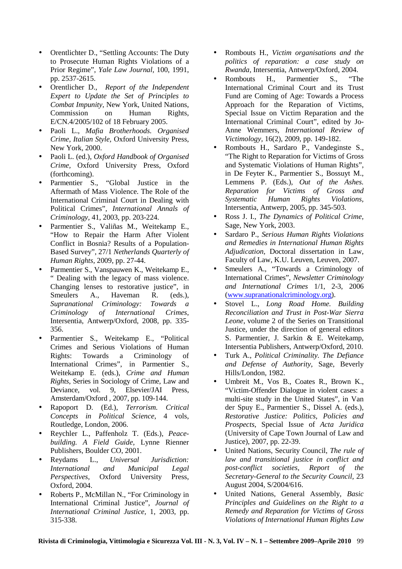- Orentlichter D., "Settling Accounts: The Duty to Prosecute Human Rights Violations of a Prior Regime", *Yale Law Journal,* 100, 1991, pp. 2537-2615.
- Orentlicher D., *Report of the Independent Expert to Update the Set of Principles to Combat Impunity*, New York, United Nations, Commission on Human Rights, E/CN.4/2005/102 of 18 February 2005.
- Paoli L., *Mafia Brotherhoods. Organised Crime, Italian Style,* Oxford University Press, New York, 2000.
- Paoli L. (ed.), *Oxford Handbook of Organised Crime,* Oxford University Press, Oxford (forthcoming).
- Parmentier S., "Global Justice in the Aftermath of Mass Violence. The Role of the International Criminal Court in Dealing with Political Crimes", *International Annals of Criminology,* 41, 2003, pp. 203-224.
- Parmentier S., Valiñas M., Weitekamp E., "How to Repair the Harm After Violent Conflict in Bosnia? Results of a Population-Based Survey", 27/1 *Netherlands Quarterly of Human Rights,* 2009, pp. 27-44.
- Parmentier S., Vanspauwen K., Weitekamp E., " Dealing with the legacy of mass violence. Changing lenses to restorative justice", in Smeulers A., Haveman R. (eds.), *Supranational Criminology: Towards a Criminology of International Crimes*, Intersentia, Antwerp/Oxford, 2008, pp. 335- 356.
- Parmentier S., Weitekamp E., "Political Crimes and Serious Violations of Human Rights: Towards a Criminology of International Crimes", in Parmentier S., Weitekamp E. (eds.), *Crime and Human Rights*, Series in Sociology of Crime, Law and Deviance, vol. 9, Elsevier/JAI Press, Amsterdam/Oxford , 2007, pp. 109-144.
- Rapoport D. (Ed.), *Terrorism. Critical Concepts in Political Science*, 4 vols, Routledge, London, 2006.
- Reychler L., Paffenholz T. (Eds.), *Peacebuilding. A Field Guide,* Lynne Rienner Publishers, Boulder CO, 2001.
- Reydams L., *Universal Jurisdiction: International and Municipal Legal Perspectives*, Oxford University Press, Oxford, 2004.
- Roberts P., McMillan N., "For Criminology in International Criminal Justice", *Journal of International Criminal Justice,* 1, 2003, pp. 315-338.
- Rombouts H., *Victim organisations and the politics of reparation: a case study on Rwanda,* Intersentia, Antwerp/Oxford, 2004.
- Rombouts H., Parmentier S., "The International Criminal Court and its Trust Fund are Coming of Age: Towards a Process Approach for the Reparation of Victims, Special Issue on Victim Reparation and the International Criminal Court", edited by Jo-Anne Wemmers, *International Review of Victimology,* 16(2), 2009, pp. 149-182.
- Rombouts H., Sardaro P., Vandeginste S., "The Right to Reparation for Victims of Gross and Systematic Violations of Human Rights", in De Feyter K., Parmentier S., Bossuyt M., Lemmens P. (Eds.), *Out of the Ashes. Reparation for Victims of Gross and Systematic Human Rights Violations,* Intersentia, Antwerp, 2005, pp. 345-503.
- Ross J. I., *The Dynamics of Political Crime,* Sage, New York, 2003.
- Sardaro P., *Serious Human Rights Violations and Remedies in International Human Rights Adjudication,* Doctoral dissertation in Law, Faculty of Law, K.U. Leuven, Leuven, 2007.
- Smeulers A., "Towards a Criminology of International Crimes", *Newsletter Criminology and International Crimes* 1/1, 2-3, 2006 (www.supranationalcriminology.org).
- Stovel L., *Long Road Home. Building Reconciliation and Trust in Post-War Sierra Leone*, volume 2 of the Series on Transitional Justice, under the direction of general editors S. Parmentier, J. Sarkin & E. Weitekamp, Intersentia Publishers, Antwerp/Oxford, 2010.
- Turk A., *Political Criminality. The Defiance and Defense of Authority,* Sage, Beverly Hills/London, 1982.
- Umbreit M., Vos B., Coates R., Brown K., "Victim-Offender Dialogue in violent cases: a multi-site study in the United States", in Van der Spuy E., Parmentier S., Dissel A. (eds.), *Restorative Justice: Politics, Policies and Prospects*, Special Issue of *Acta Juridica* (University of Cape Town Journal of Law and Justice), 2007, pp. 22-39.
- United Nations, Security Council, *The rule of law and transitional justice in conflict and post-conflict societies, Report of the Secretary-General to the Security Council,* 23 August 2004, S/2004/616.
- United Nations, General Assembly, *Basic Principles and Guidelines on the Right to a Remedy and Reparation for Victims of Gross Violations of International Human Rights Law*